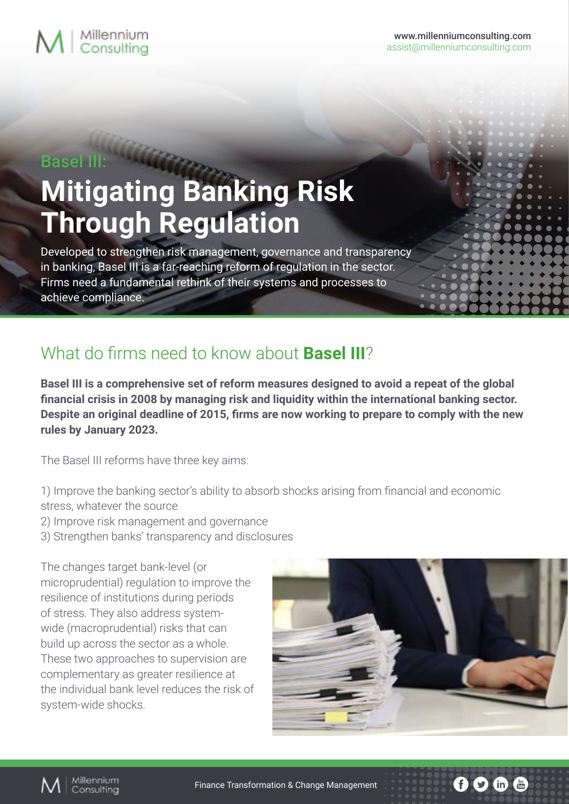# $M$   $\vert$  Millennium

### Basel III:

# **Mitigating Banking Risk Through Regulation**

Developed to strengthen risk management, governance and transparency in banking, Basel III is a far-reaching reform of regulation in the sector. Firms need a fundamental rethink of their systems and processes to achieve compliance.

## What do firms need to know about **Basel III**?

**Basel III is a comprehensive set of reform measures designed to avoid a repeat of the global financial crisis in 2008 by managing risk and liquidity within the international banking sector. Despite an original deadline of 2015, firms are now working to prepare to comply with the new rules by January 2023.**

The Basel III reforms have three key aims:

- 1) Improve the banking sector's ability to absorb shocks arising from financial and economic
- stress, whatever the source
- 2) Improve risk management and governance
- 3) Strengthen banks' transparency and disclosures

The changes target bank-level (or microprudential) regulation to improve the resilience of institutions during periods of stress. They also address systemwide (macroprudential) risks that can build up across the sector as a whole. These two approaches to supervision are complementary as greater resilience at the individual bank level reduces the risk of system-wide shocks.



 $\bigcirc$  (in  $\bigcirc$   $\bigcirc$   $\bigcirc$ 

 $\mathbf{f}$